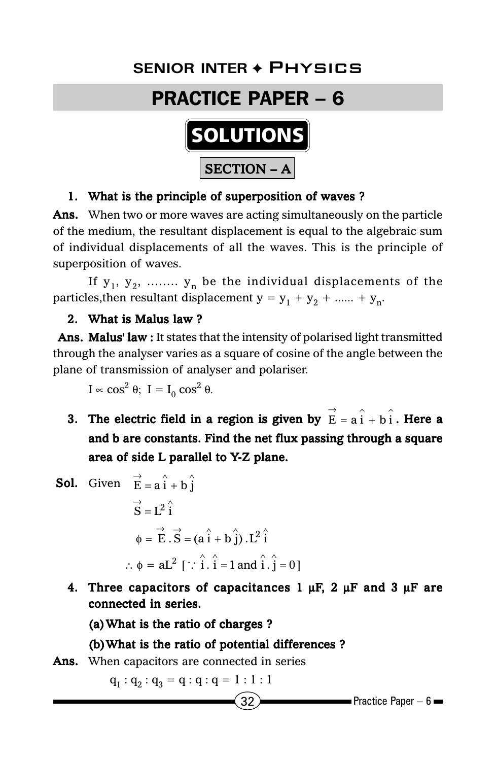# **Senior Inter** ✦ Physics **SENIOR INTER** ✦ Physics

## PRACTICE PAPER – 6



#### 1. What is the principle of superposition of waves ?

Ans. When two or more waves are acting simultaneously on the particle of the medium, the resultant displacement is equal to the algebraic sum of individual displacements of all the waves. This is the principle of superposition of waves.

If  $y_1, y_2, \ldots, y_n$  be the individual displacements of the particles, then resultant displacement  $y = y_1 + y_2 + \dots + y_n$ .

#### 2. What is Malus law ?

Ans. Malus' law : It states that the intensity of polarised light transmitted through the analyser varies as a square of cosine of the angle between the plane of transmission of analyser and polariser.

I  $\propto$  cos<sup>2</sup> θ; I = I<sub>0</sub> cos<sup>2</sup> θ.

- 3. The electric field in a region is given by  $\overrightarrow{E} = a \hat{i} + b \hat{i}$  $\vec{E} = \hat{a} \hat{i} + \hat{b} \hat{i}$ . Here a and b are constants. Find the net flux passing through a square area of side L parallel to Y-Z plane.
- **Sol.** Given  $\vec{E} = \vec{a} \hat{i} + \vec{b} \hat{j}$  $\overrightarrow{S} = L^2 \hat{i}$  $\phi = \overrightarrow{E} \cdot \overrightarrow{S} = (a \hat{i} + b \hat{j}) \cdot L^2 \hat{i}$  $\therefore$   $\phi = aL^2$  [  $\therefore$   $\hat{i} \cdot \hat{i} = 1$  and  $\hat{i} \cdot \hat{j} = 0$ ]
	- 4. Three capacitors of capacitances 1  $\mu$ F, 2  $\mu$ F and 3  $\mu$ F are connected in series.

(a)What is the ratio of charges ?

#### (b)What is the ratio of potential differences ?

#### **Ans.** When capacitors are connected in series

 $q_1 : q_2 : q_3 = q : q : q = 1 : 1 : 1$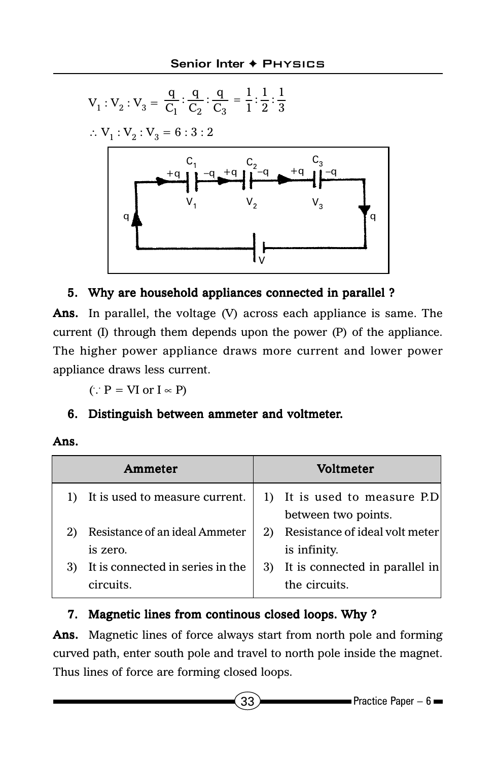

#### 5. Why are household appliances connected in parallel ?

Ans. In parallel, the voltage  $(V)$  across each appliance is same. The current (I) through them depends upon the power (P) of the appliance. The higher power appliance draws more current and lower power appliance draws less current.

 $(: P = VI or I \propto P)$ 

#### 6. Distinguish between ammeter and voltmeter.

#### Ans.

| Ammeter                                       | <b>Voltmeter</b>                                      |
|-----------------------------------------------|-------------------------------------------------------|
| 1) It is used to measure current.             | 1) It is used to measure P.D<br>between two points.   |
| Resistance of an ideal Ammeter                | Resistance of ideal volt meter                        |
| is zero.                                      | is infinity.                                          |
| It is connected in series in the<br>circuits. | It is connected in parallel in<br>3)<br>the circuits. |

#### 7. Magnetic lines from continous closed loops. Why ?

Ans. Magnetic lines of force always start from north pole and forming curved path, enter south pole and travel to north pole inside the magnet. Thus lines of force are forming closed loops.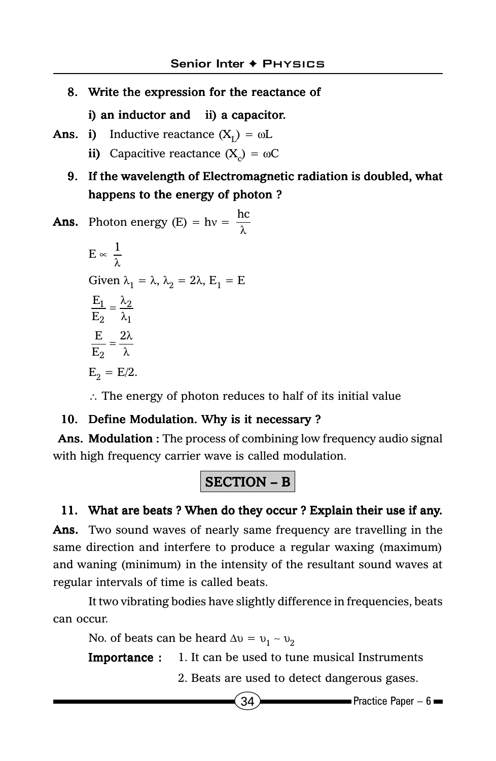#### 8. Write the expression for the reactance of

i) an inductor and ii) a capacitor.

- **Ans.** i) Inductive reactance  $(X_i) = \omega L$ 
	- ii) Capacitive reactance  $(X<sub>c</sub>) = \omega C$

#### 9. If the wavelength of Electromagnetic radiation is doubled, what happens to the energy of photon ?

**Ans. Photon energy (E)** = 
$$
hv = \frac{hc}{\lambda}
$$

$$
E \propto \frac{1}{\lambda}
$$
  
Given  $\lambda_1 = \lambda$ ,  $\lambda_2 = 2\lambda$ ,  $E_1 = E$   

$$
\frac{E_1}{E_2} = \frac{\lambda_2}{\lambda_1}
$$
  

$$
\frac{E}{E_2} = \frac{2\lambda}{\lambda}
$$
  

$$
E_2 = E/2.
$$

∴ The energy of photon reduces to half of its initial value

#### 10. Define Modulation. Why is it necessary ?

Ans. Modulation : The process of combining low frequency audio signal with high frequency carrier wave is called modulation.

## SECTION – B

#### 11. What are beats ? When do they occur ? Explain their use if any.

Ans. Two sound waves of nearly same frequency are travelling in the same direction and interfere to produce a regular waxing (maximum) and waning (minimum) in the intensity of the resultant sound waves at regular intervals of time is called beats.

It two vibrating bodies have slightly difference in frequencies, beats can occur.

No. of beats can be heard  $\Delta v = v_1 - v_2$ 

**Importance :** 1. It can be used to tune musical Instruments

2. Beats are used to detect dangerous gases.

$$
34
$$

 $\blacksquare$ Practice Paper – 6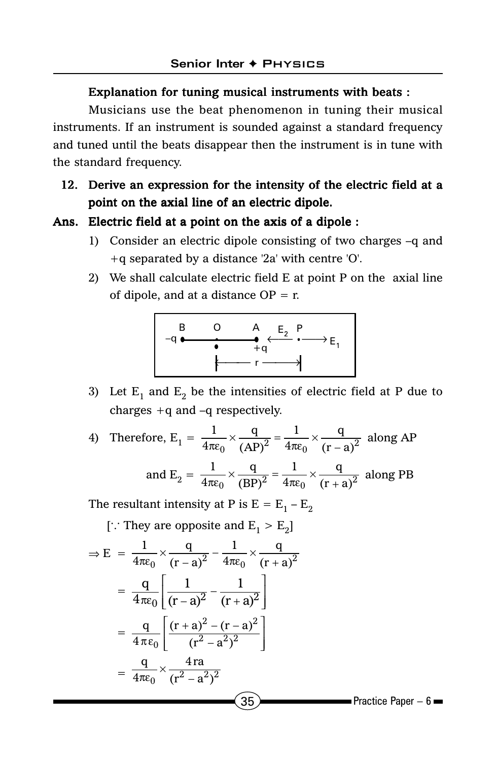#### Explanation for tuning musical instruments with beats :

Musicians use the beat phenomenon in tuning their musical instruments. If an instrument is sounded against a standard frequency and tuned until the beats disappear then the instrument is in tune with the standard frequency.

#### 12. Derive an expression for the intensity of the electric field at a point on the axial line of an electric dipole.

#### Ans. Electric field at a point on the axis of a dipole :

- 1) Consider an electric dipole consisting of two charges –q and +q separated by a distance '2a' with centre 'O'.
- 2) We shall calculate electric field E at point P on the axial line of dipole, and at a distance  $OP = r$ .



3) Let  $E_1$  and  $E_2$  be the intensities of electric field at P due to charges +q and –q respectively.

4) Therefore, 
$$
E_1 = \frac{1}{4\pi\varepsilon_0} \times \frac{q}{(AP)^2} = \frac{1}{4\pi\varepsilon_0} \times \frac{q}{(r-a)^2}
$$
 along AP  
and  $E_2 = \frac{1}{4\pi\varepsilon_0} \times \frac{q}{(BP)^2} = \frac{1}{4\pi\varepsilon_0} \times \frac{q}{(r+a)^2}$  along PB

The resultant intensity at P is  $E = E_1 - E_2$ 

[ $\therefore$  They are opposite and  $E_1 > E_2$ ]

$$
\Rightarrow E = \frac{1}{4\pi\epsilon_0} \times \frac{q}{(r-a)^2} - \frac{1}{4\pi\epsilon_0} \times \frac{q}{(r+a)^2}
$$
  
\n
$$
= \frac{q}{4\pi\epsilon_0} \left[ \frac{1}{(r-a)^2} - \frac{1}{(r+a)^2} \right]
$$
  
\n
$$
= \frac{q}{4\pi\epsilon_0} \left[ \frac{(r+a)^2 - (r-a)^2}{(r^2 - a^2)^2} \right]
$$
  
\n
$$
= \frac{q}{4\pi\epsilon_0} \times \frac{4ra}{(r^2 - a^2)^2}
$$
  
\n35\nPractice Paper - 6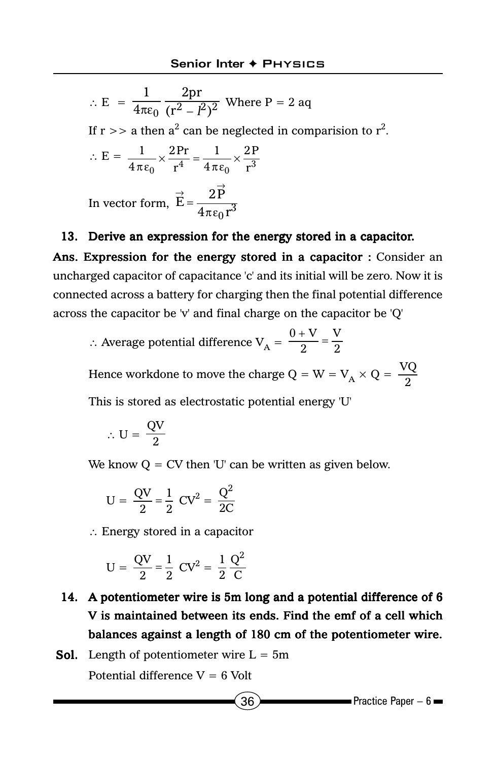$$
\therefore E = \frac{1}{4\pi\varepsilon_0} \frac{2pr}{(r^2 - l^2)^2}
$$
 Where P = 2 aq  
If r > a then a<sup>2</sup> can be neglected in comparison to r<sup>2</sup>.  

$$
\therefore E = \frac{1}{4\pi\varepsilon_0} \times \frac{2Pr}{r^4} = \frac{1}{4\pi\varepsilon_0} \times \frac{2P}{r^3}
$$
  
In vector form,  $\vec{E} = \frac{2\vec{P}}{4\pi\varepsilon_0 r^3}$ 

#### 13. Derive an expression for the energy stored in a capacitor.

Ans. Expression for the energy stored in a capacitor : Consider an uncharged capacitor of capacitance 'c' and its initial will be zero. Now it is connected across a battery for charging then the final potential difference across the capacitor be 'v' and final charge on the capacitor be 'Q'

∴ Average potential difference  $V_A = \frac{0 + V}{2} = \frac{V}{2}$ 

Hence workdone to move the charge Q = W =  $V_A \times Q = \frac{VQ}{2}$ 

This is stored as electrostatic potential energy 'U'

$$
\therefore \; U = \frac{QV}{2}
$$

We know  $Q = CV$  then 'U' can be written as given below.

$$
U = \frac{QV}{2} = \frac{1}{2} CV^2 = \frac{Q^2}{2C}
$$

∴ Energy stored in a capacitor

$$
U = \frac{QV}{2} = \frac{1}{2} CV^2 = \frac{1}{2} \frac{Q^2}{C}
$$

- 14. A potentiometer wire is 5m long and a potential difference of 6 V is maintained between its ends. Find the emf of a cell which balances against a length of 180 cm of the potentiometer wire.
- **Sol.** Length of potentiometer wire  $L = 5m$ Potential difference  $V = 6$  Volt

$$
36
$$

 $\blacksquare$ Practice Paper – 6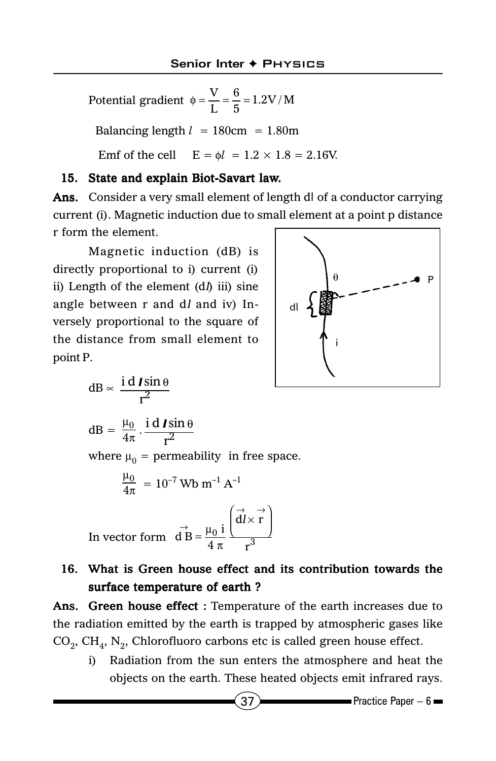Potential gradient  $\phi = \frac{V}{L} = \frac{6}{5} = 1.2 V/M$ Balancing length  $l = 180$ cm = 1.80m Emf of the cell  $E = \phi l = 1.2 \times 1.8 = 2.16V$ .

#### 15. State and explain Biot-Savart law.

Ans. Consider a very small element of length d*l* of a conductor carrying current (i). Magnetic induction due to small element at a point p distance r form the element.

Magnetic induction (dB) is directly proportional to i) current (i) ii) Length of the element  $(d)$  iii) sine angle between r and dl and iv) Inversely proportional to the square of the distance from small element to point P.



$$
dB \propto \frac{\mathrm{i} \, \mathrm{d} \, \mathrm{I} \sin \theta}{r^2}
$$

$$
dB = \frac{\mu_0}{4\pi} \cdot \frac{i \, d \, \textit{Isin} \, \theta}{r^2}
$$

where  $\mu_0$  = permeability in free space.

$$
\frac{\mu_0}{4\pi} = 10^{-7}
$$
 Wb m<sup>-1</sup> A<sup>-1</sup>

In vector form 
$$
\vec{d}B = \frac{\mu_0 i}{4 \pi} \left( \frac{\vec{d}l \times \vec{r}}{r^3} \right)
$$

#### 16. What is Green house effect and its contribution towards the surface temperature of earth ?

Ans. Green house effect : Temperature of the earth increases due to the radiation emitted by the earth is trapped by atmospheric gases like  $CO<sub>2</sub>$ ,  $CH<sub>4</sub>$ , N<sub>2</sub>, Chlorofluoro carbons etc is called green house effect.

i) Radiation from the sun enters the atmosphere and heat the objects on the earth. These heated objects emit infrared rays.

$$
37\phantom{.0}
$$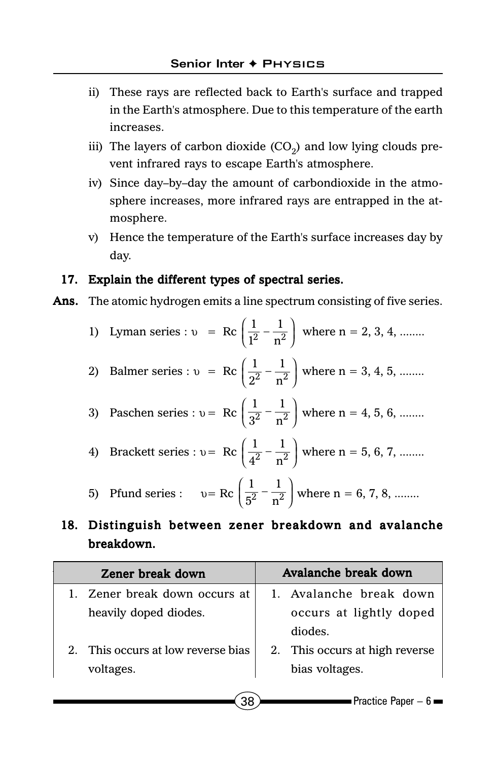- ii) These rays are reflected back to Earth's surface and trapped in the Earth's atmosphere. Due to this temperature of the earth increases.
- iii) The layers of carbon dioxide  $(CO<sub>2</sub>)$  and low lying clouds prevent infrared rays to escape Earth's atmosphere.
- iv) Since day–by–day the amount of carbondioxide in the atmosphere increases, more infrared rays are entrapped in the atmosphere.
- v) Hence the temperature of the Earth's surface increases day by day.

#### 17. Explain the different types of spectral series.

Ans. The atomic hydrogen emits a line spectrum consisting of five series.

|  |  |  |  |  |  | T vman series : $v = \text{Rc} \left( \frac{1}{1^2} - \frac{1}{n^2} \right)$ where $n = 2, 3, 4, $ |
|--|--|--|--|--|--|----------------------------------------------------------------------------------------------------|
|--|--|--|--|--|--|----------------------------------------------------------------------------------------------------|

- 2) Balmer series :  $v = \text{Rc} \left( \frac{1}{2^2} \frac{1}{2^2} \right)$  $\left(\frac{1}{2^2} - \frac{1}{n^2}\right)$  where n = 3, 4, 5, ........
- 3) Paschen series :  $v = \text{Rc} \left( \frac{1}{3^2} \frac{1}{2^2} \right)$  $\left(\frac{1}{3^2} - \frac{1}{n^2}\right)$  where n = 4, 5, 6, ........

4) Brackett series : 
$$
v = \text{Rc} \left( \frac{1}{4^2} - \frac{1}{n^2} \right)
$$
 where  $n = 5, 6, 7, \dots$ 

5) Pfund series :  $v = \text{Rc} \left( \frac{1}{5^2} - \frac{1}{2^2} \right)$  $\left(\frac{1}{5^2} - \frac{1}{n^2}\right)$  where n = 6, 7, 8, ........

#### 18. Distinguish between zener breakdown and avalanche breakdown. breakdown.

| Zener break down                | Avalanche break down           |  |  |
|---------------------------------|--------------------------------|--|--|
| Zener break down occurs at      | 1. Avalanche break down        |  |  |
| heavily doped diodes.           | occurs at lightly doped        |  |  |
|                                 | diodes.                        |  |  |
| This occurs at low reverse bias | 2. This occurs at high reverse |  |  |
| voltages.                       | bias voltages.                 |  |  |
|                                 |                                |  |  |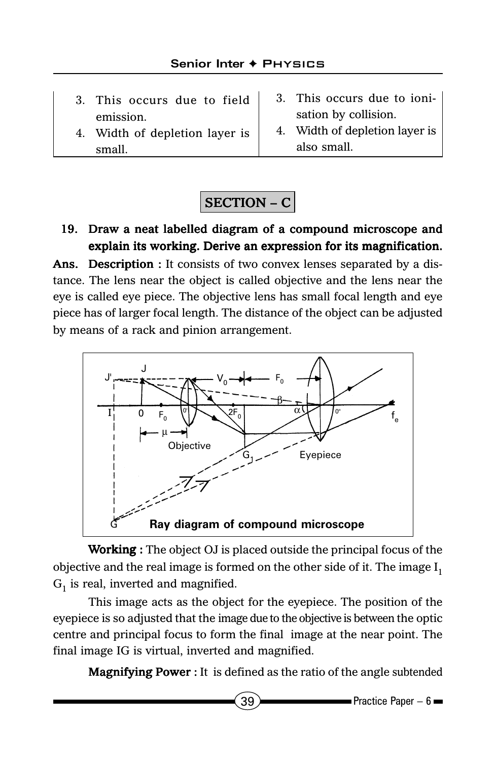- 3. This occurs due to field emission.
- 4. Width of depletion layer is small.
- 3. This occurs due to ionisation by collision.
- 4. Width of depletion layer is also small.

## SECTION – C

#### 19. Draw a neat labelled diagram of a compound microscope and explain its working. Derive an expression for its magnification.

Ans. Description : It consists of two convex lenses separated by a distance. The lens near the object is called objective and the lens near the eye is called eye piece. The objective lens has small focal length and eye piece has of larger focal length. The distance of the object can be adjusted by means of a rack and pinion arrangement.



**Working**: The object OJ is placed outside the principal focus of the objective and the real image is formed on the other side of it. The image  $I_1$  $G<sub>1</sub>$  is real, inverted and magnified.

This image acts as the object for the eyepiece. The position of the eyepiece is so adjusted that the image due to the objective is between the optic centre and principal focus to form the final image at the near point. The final image IG is virtual, inverted and magnified.

Magnifying Power : It is defined as the ratio of the angle subtended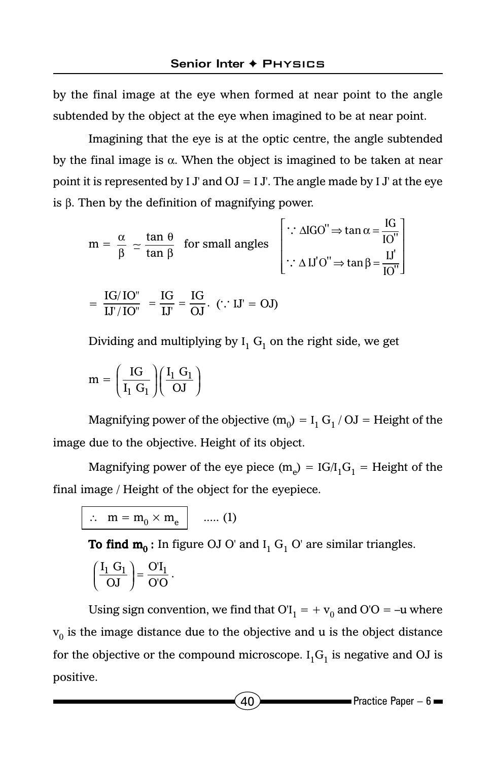by the final image at the eye when formed at near point to the angle subtended by the object at the eye when imagined to be at near point.

Imagining that the eye is at the optic centre, the angle subtended by the final image is  $\alpha$ . When the object is imagined to be taken at near point it is represented by I J' and  $OJ = I J'$ . The angle made by I J' at the eye is β. Then by the definition of magnifying power.

$$
m = \frac{\alpha}{\beta} \approx \frac{\tan \theta}{\tan \beta} \text{ for small angles} \begin{bmatrix} \therefore \Delta \text{IGO}^{\prime\prime} \Rightarrow \tan \alpha = \frac{\text{IG}}{\text{IO}^{\prime\prime}} \\ \therefore \Delta \text{IJ'O}^{\prime\prime} \Rightarrow \tan \beta = \frac{\text{IJ}^{\prime}}{\text{IO}^{\prime\prime}} \end{bmatrix}
$$

$$
= \frac{\text{IG}/\text{IO}^{\prime\prime}}{\text{IJ}^{\prime}/\text{IO}^{\prime\prime}} = \frac{\text{IG}}{\text{IJ}^{\prime}} = \frac{\text{IG}}{\text{OI}^{\prime}} \cdot (\therefore \text{IJ}^{\prime} = \text{OJ})
$$

Dividing and multiplying by  ${\rm I}_1$   ${\rm G}_1$  on the right side, we get

$$
m = \left(\frac{IG}{I_1 \ G_1}\right) \left(\frac{I_1 \ G_1}{OJ}\right)
$$

Magnifying power of the objective (m<sub>0</sub>) =  $I_1 G_1 / OJ$  = Height of the image due to the objective. Height of its object.

Magnifying power of the eye piece (m<sub>e</sub>) = IG/I<sub>1</sub>G<sub>1</sub> = Height of the final image / Height of the object for the eyepiece.

 $\therefore$  m =  $\overline{m_0 \times m_e}$  ..... (1)

**To find**  $\mathbf{m_0}$  **:** In figure OJ O' and I<sub>1</sub> G<sub>1</sub> O' are similar triangles.

$$
\left(\frac{I_1 \ G_1}{OJ}\right) = \frac{O'I_1}{O'O} \ .
$$

Using sign convention, we find that  $\text{O}\text{I}_1 = + \text{v}_0$  and  $\text{O}\text{O} = -\text{u}$  where  $\mathbf{v}_0$  is the image distance due to the objective and  $\mathbf{u}$  is the object distance for the objective or the compound microscope.  ${\rm I_1G_1}$  is negative and OJ is positive.

 $(40)$  Practice Paper – 6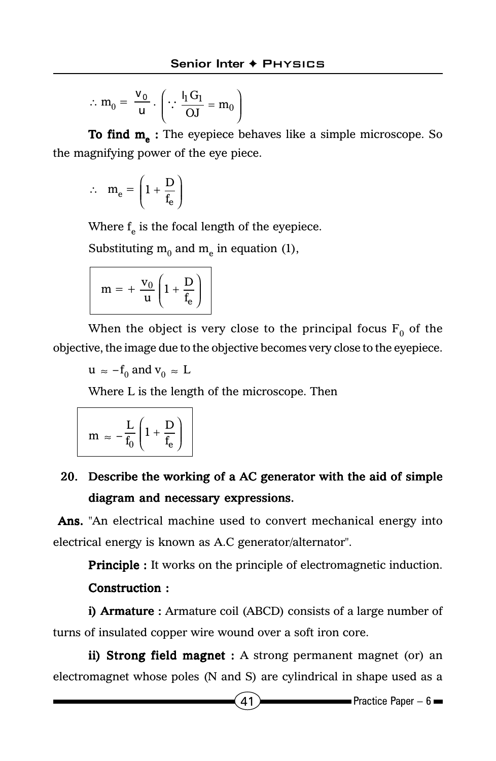$$
\therefore m_0 = \frac{v_0}{u} \cdot \left( \because \frac{l_1 G_1}{OJ} = m_0 \right)
$$

To find  $m_a$ : The eyepiece behaves like a simple microscope. So the magnifying power of the eye piece.

$$
\therefore \quad m_e = \left(1 + \frac{D}{f_e}\right)
$$

Where  $f_e$  is the focal length of the eyepiece.

Substituting  $m_0$  and  $m_e$  in equation (1),

$$
m = + \frac{v_0}{u} \left( 1 + \frac{D}{f_e} \right)
$$

When the object is very close to the principal focus  $F_0$  of the objective, the image due to the objective becomes very close to the eyepiece.

 $u \approx -f_0$  and  $v_0 \approx L$ 

Where L is the length of the microscope. Then

$$
m \; \approx \; - \frac{L}{f_0} \left( 1 + \frac{D}{f_e} \right)
$$

## 20. Describe the working of a AC generator with the aid of simple diagram and necessary expressions.

Ans. "An electrical machine used to convert mechanical energy into electrical energy is known as A.C generator/alternator".

**Principle :** It works on the principle of electromagnetic induction.

#### Construction :

i) **Armature**: Armature coil (ABCD) consists of a large number of turns of insulated copper wire wound over a soft iron core.

ii) Strong field magnet : A strong permanent magnet (or) an electromagnet whose poles (N and S) are cylindrical in shape used as a

 $(41)$  Practice Paper – 6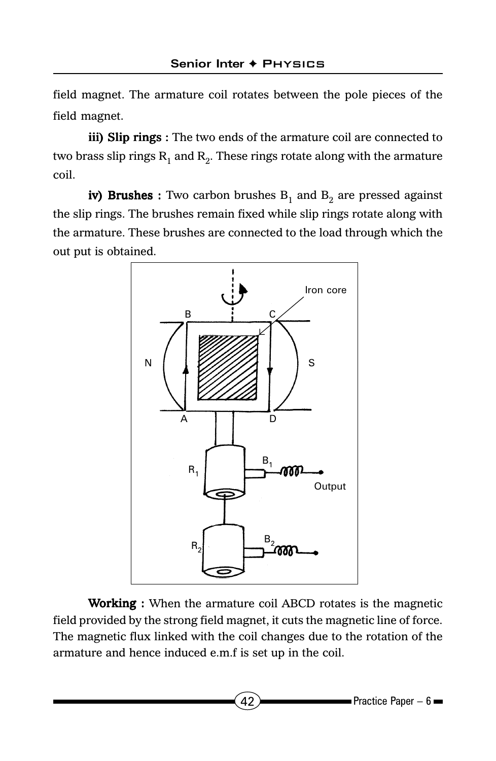field magnet. The armature coil rotates between the pole pieces of the field magnet.

iii) Slip rings : The two ends of the armature coil are connected to two brass slip rings  $R_1$  and  $R_2$ . These rings rotate along with the armature coil.

iv) Brushes : Two carbon brushes  $B_1$  and  $B_2$  are pressed against the slip rings. The brushes remain fixed while slip rings rotate along with the armature. These brushes are connected to the load through which the out put is obtained.



Working : When the armature coil ABCD rotates is the magnetic field provided by the strong field magnet, it cuts the magnetic line of force. The magnetic flux linked with the coil changes due to the rotation of the armature and hence induced e.m.f is set up in the coil.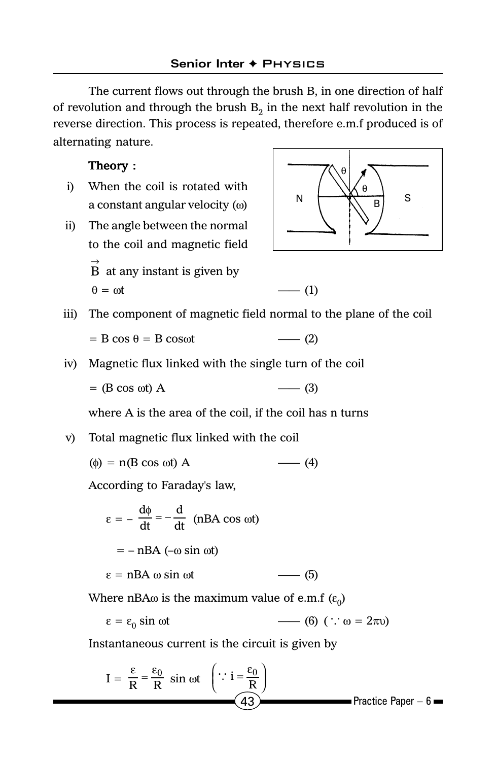The current flows out through the brush B, in one direction of half of revolution and through the brush  $B<sub>2</sub>$  in the next half revolution in the reverse direction. This process is repeated, therefore e.m.f produced is of alternating nature.

#### Theory :

- i) When the coil is rotated with a constant angular velocity (ω)
- ii) The angle between the normal to the coil and magnetic field  $\stackrel{\rightarrow}{\mathrm{B}}$  at any instant is given by  $\theta = \omega t$  —— (1)



iii) The component of magnetic field normal to the plane of the coil

$$
= B \cos \theta = B \cos \omega t \qquad \qquad \text{--- (2)}
$$

iv) Magnetic flux linked with the single turn of the coil

$$
= (B \cos \omega t) A \qquad \qquad \text{---} (3)
$$

where A is the area of the coil, if the coil has n turns

v) Total magnetic flux linked with the coil

$$
(\phi) = n(B \cos \omega t) A \qquad \qquad (4)
$$

According to Faraday's law,

$$
\varepsilon = -\frac{d\phi}{dt} = -\frac{d}{dt} \quad \text{(nBA cos \omega t)}
$$

$$
= -\text{nBA } (-\omega \sin \omega t)
$$

$$
\varepsilon = \text{nBA } \omega \sin \omega t \qquad (5)
$$

Where nBA $\omega$  is the maximum value of e.m.f  $(\varepsilon_0)$ 

$$
\varepsilon = \varepsilon_0 \sin \omega t \qquad \qquad (6) \ (\because \omega = 2\pi\nu)
$$

Instantaneous current is the circuit is given by

$$
I = \frac{\varepsilon}{R} = \frac{\varepsilon_0}{R} \sin \omega t \quad \left(\because i = \frac{\varepsilon_0}{R}\right)
$$
\n(43)   
\nPractice Paper - 6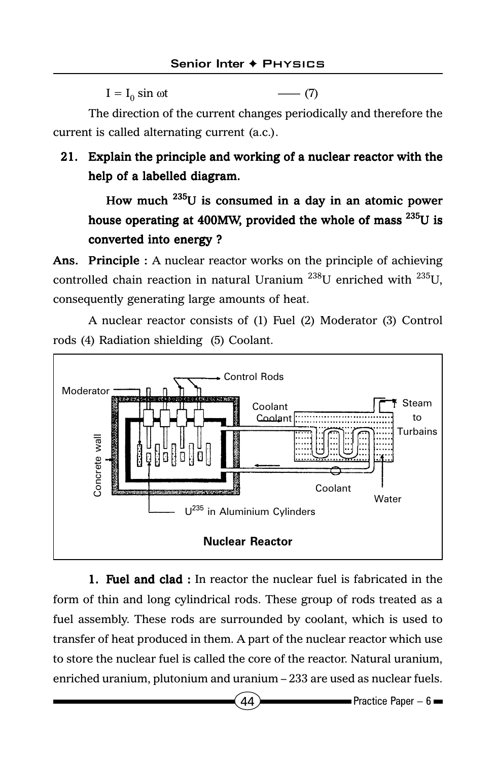$I = I_0 \sin \omega t$  —— (7)

The direction of the current changes periodically and therefore the current is called alternating current (a.c.).

### 21. Explain the principle and working of a nuclear reactor with the help of a labelled diagram.

How much 235U is consumed in a day in an atomic power house operating at 400MW, provided the whole of mass  $^{235}U$  is converted into energy ?

Ans. Principle : A nuclear reactor works on the principle of achieving controlled chain reaction in natural Uranium  $^{238}$ U enriched with  $^{235}$ U, consequently generating large amounts of heat.

A nuclear reactor consists of (1) Fuel (2) Moderator (3) Control rods (4) Radiation shielding (5) Coolant.



1. Fuel and clad : In reactor the nuclear fuel is fabricated in the form of thin and long cylindrical rods. These group of rods treated as a fuel assembly. These rods are surrounded by coolant, which is used to transfer of heat produced in them. A part of the nuclear reactor which use to store the nuclear fuel is called the core of the reactor. Natural uranium, enriched uranium, plutonium and uranium – 233 are used as nuclear fuels.

 $(44)$   $\longrightarrow$  Practice Paper – 6